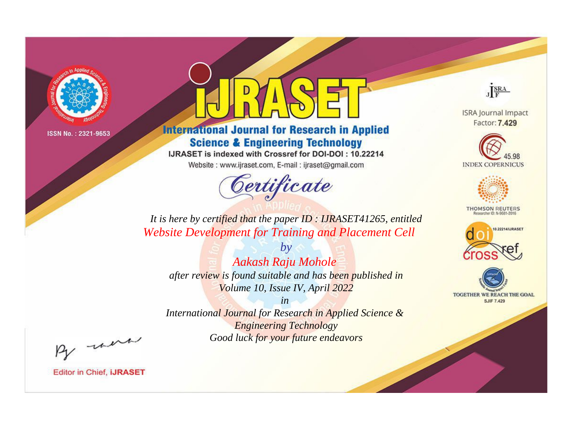

# **International Journal for Research in Applied Science & Engineering Technology**

IJRASET is indexed with Crossref for DOI-DOI: 10.22214

Website: www.ijraset.com, E-mail: ijraset@gmail.com



JERA

**ISRA Journal Impact** Factor: 7.429





**THOMSON REUTERS** 



TOGETHER WE REACH THE GOAL **SJIF 7.429** 

*It is here by certified that the paper ID : IJRASET41265, entitled Website Development for Training and Placement Cell*

*by Aakash Raju Mohole after review is found suitable and has been published in Volume 10, Issue IV, April 2022*

*in* 

*International Journal for Research in Applied Science & Engineering Technology Good luck for your future endeavors*

By morn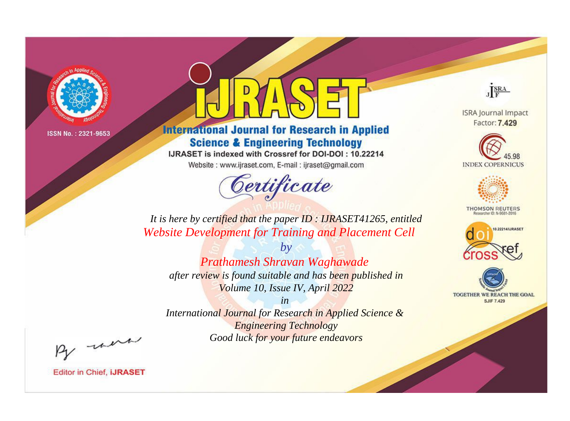

# **International Journal for Research in Applied Science & Engineering Technology**

IJRASET is indexed with Crossref for DOI-DOI: 10.22214

Website: www.ijraset.com, E-mail: ijraset@gmail.com



JERA

**ISRA Journal Impact** Factor: 7.429





**THOMSON REUTERS** 



TOGETHER WE REACH THE GOAL **SJIF 7.429** 

*It is here by certified that the paper ID : IJRASET41265, entitled Website Development for Training and Placement Cell*

*by Prathamesh Shravan Waghawade after review is found suitable and has been published in Volume 10, Issue IV, April 2022*

*in* 

*International Journal for Research in Applied Science & Engineering Technology Good luck for your future endeavors*

By morn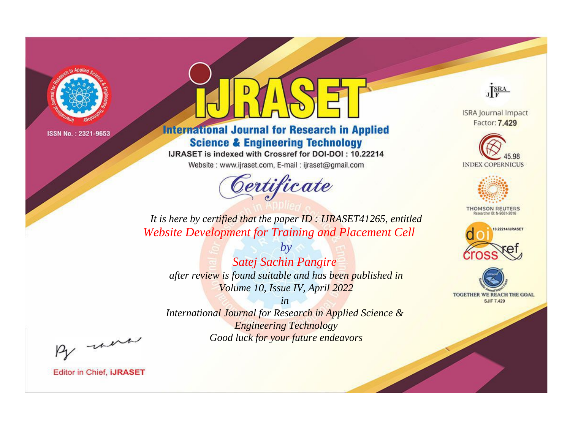

# **International Journal for Research in Applied Science & Engineering Technology**

IJRASET is indexed with Crossref for DOI-DOI: 10.22214

Website: www.ijraset.com, E-mail: ijraset@gmail.com



JERA

**ISRA Journal Impact** Factor: 7.429





**THOMSON REUTERS** 



TOGETHER WE REACH THE GOAL **SJIF 7.429** 

*It is here by certified that the paper ID : IJRASET41265, entitled Website Development for Training and Placement Cell*

*Satej Sachin Pangire after review is found suitable and has been published in Volume 10, Issue IV, April 2022*

*by*

*in International Journal for Research in Applied Science &* 

*Engineering Technology Good luck for your future endeavors*

By morn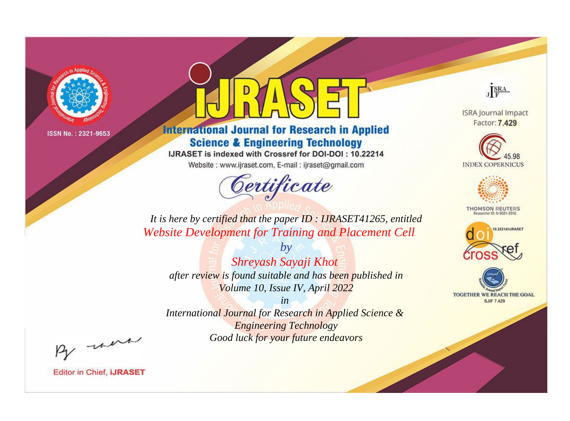

# **International Journal for Research in Applied Science & Engineering Technology**

IJRASET is indexed with Crossref for DOI-DOI: 10.22214

Website: www.ijraset.com, E-mail: ijraset@gmail.com



JERA

**ISRA Journal Impact** Factor: 7.429





**THOMSON REUTERS** 



TOGETHER WE REACH THE GOAL **SJIF 7.429** 

*It is here by certified that the paper ID : IJRASET41265, entitled Website Development for Training and Placement Cell*

*Shreyash Sayaji Khot after review is found suitable and has been published in Volume 10, Issue IV, April 2022*

*by*

*in* 

*International Journal for Research in Applied Science & Engineering Technology Good luck for your future endeavors*

By morn